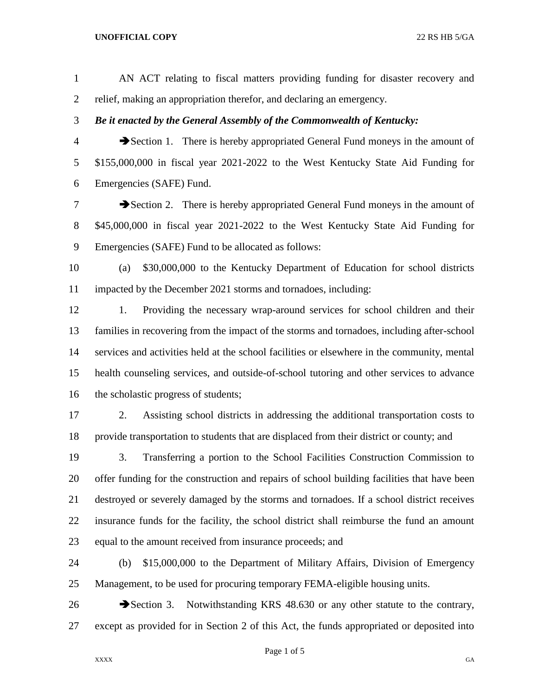AN ACT relating to fiscal matters providing funding for disaster recovery and relief, making an appropriation therefor, and declaring an emergency. *Be it enacted by the General Assembly of the Commonwealth of Kentucky:* Section 1. There is hereby appropriated General Fund moneys in the amount of \$155,000,000 in fiscal year 2021-2022 to the West Kentucky State Aid Funding for Emergencies (SAFE) Fund. **Exercise 2.** There is hereby appropriated General Fund moneys in the amount of \$45,000,000 in fiscal year 2021-2022 to the West Kentucky State Aid Funding for Emergencies (SAFE) Fund to be allocated as follows: (a) \$30,000,000 to the Kentucky Department of Education for school districts impacted by the December 2021 storms and tornadoes, including: 1. Providing the necessary wrap-around services for school children and their families in recovering from the impact of the storms and tornadoes, including after-school services and activities held at the school facilities or elsewhere in the community, mental health counseling services, and outside-of-school tutoring and other services to advance 16 the scholastic progress of students; 2. Assisting school districts in addressing the additional transportation costs to provide transportation to students that are displaced from their district or county; and 3. Transferring a portion to the School Facilities Construction Commission to offer funding for the construction and repairs of school building facilities that have been destroyed or severely damaged by the storms and tornadoes. If a school district receives insurance funds for the facility, the school district shall reimburse the fund an amount equal to the amount received from insurance proceeds; and

 (b) \$15,000,000 to the Department of Military Affairs, Division of Emergency Management, to be used for procuring temporary FEMA-eligible housing units.

26 Section 3. Notwithstanding KRS 48.630 or any other statute to the contrary, except as provided for in Section 2 of this Act, the funds appropriated or deposited into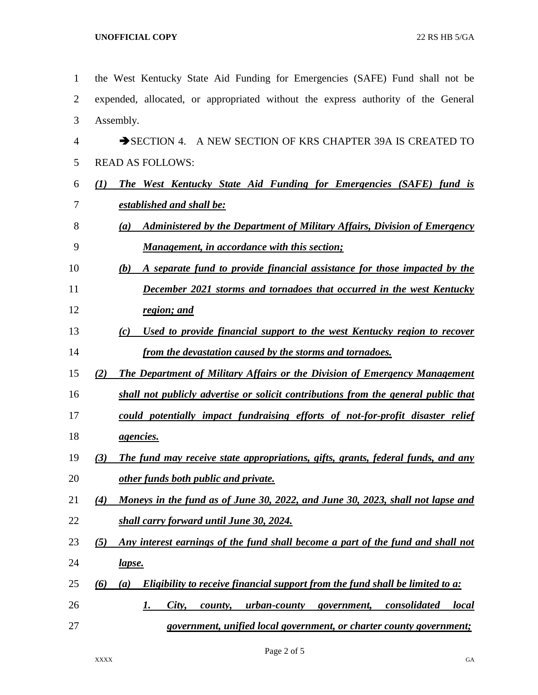| $\mathbf{1}$ | the West Kentucky State Aid Funding for Emergencies (SAFE) Fund shall not be                         |
|--------------|------------------------------------------------------------------------------------------------------|
| 2            | expended, allocated, or appropriated without the express authority of the General                    |
| 3            | Assembly.                                                                                            |
| 4            | SECTION 4. A NEW SECTION OF KRS CHAPTER 39A IS CREATED TO                                            |
| 5            | <b>READ AS FOLLOWS:</b>                                                                              |
| 6            | <b>The West Kentucky State Aid Funding for Emergencies (SAFE) fund is</b><br>$\mathcal{L}(I)$        |
| 7            | established and shall be:                                                                            |
| 8            | <b>Administered by the Department of Military Affairs, Division of Emergency</b><br>$\left(a\right)$ |
| 9            | <b>Management, in accordance with this section;</b>                                                  |
| 10           | A separate fund to provide financial assistance for those impacted by the<br>(b)                     |
| 11           | December 2021 storms and tornadoes that occurred in the west Kentucky                                |
| 12           | region; and                                                                                          |
| 13           | <u>Used to provide financial support to the west Kentucky region to recover</u><br>(c)               |
| 14           | from the devastation caused by the storms and tornadoes.                                             |
| 15           | <b>The Department of Military Affairs or the Division of Emergency Management</b><br>(2)             |
| 16           | shall not publicly advertise or solicit contributions from the general public that                   |
| 17           | could potentially impact fundraising efforts of not-for-profit disaster relief                       |
| 18           | <i>agencies.</i>                                                                                     |
| 19           | The fund may receive state appropriations, gifts, grants, federal funds, and any<br>(3)              |
| 20           | other funds both public and private.                                                                 |
| 21           | Moneys in the fund as of June 30, 2022, and June 30, 2023, shall not lapse and<br>(4)                |
| 22           | shall carry forward until June 30, 2024.                                                             |
| 23           | Any interest earnings of the fund shall become a part of the fund and shall not<br>(5)               |
| 24           | <u>lapse.</u>                                                                                        |
| 25           | Eligibility to receive financial support from the fund shall be limited to a:<br>(6)<br>(a)          |
| 26           | urban-county<br><i>consolidated</i><br><i>local</i><br>City,<br>government,<br><u>I.</u><br>county,  |
| 27           | government, unified local government, or charter county government;                                  |

Page 2 of 5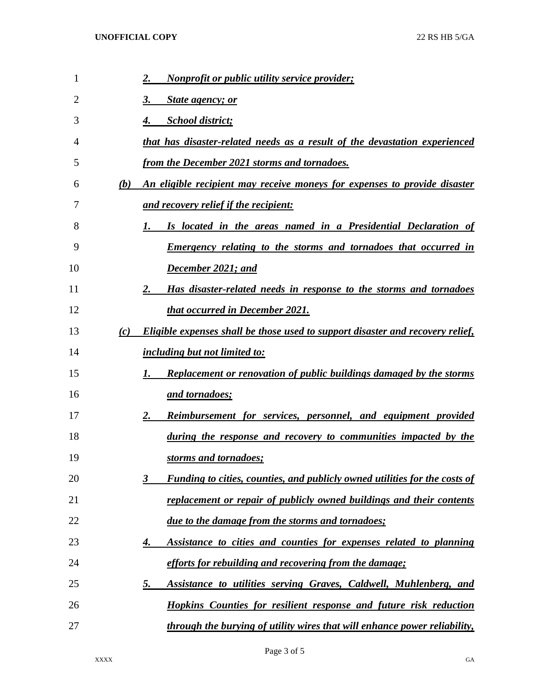| 1  |     | <b>Nonprofit or public utility service provider;</b><br>2.                             |
|----|-----|----------------------------------------------------------------------------------------|
| 2  |     | <b>State agency; or</b><br>3.                                                          |
| 3  |     | <b>School district;</b>                                                                |
| 4  |     | that has disaster-related needs as a result of the devastation experienced             |
| 5  |     | from the December 2021 storms and tornadoes.                                           |
| 6  | (b) | An eligible recipient may receive moneys for expenses to provide disaster              |
| 7  |     | <u>and recovery relief if the recipient:</u>                                           |
| 8  |     | Is located in the areas named in a Presidential Declaration of                         |
| 9  |     | <b>Emergency relating to the storms and tornadoes that occurred in</b>                 |
| 10 |     | December 2021; and                                                                     |
| 11 |     | Has disaster-related needs in response to the storms and tornadoes<br>2.               |
| 12 |     | that occurred in December 2021.                                                        |
| 13 | (c) | <b>Eligible expenses shall be those used to support disaster and recovery relief,</b>  |
| 14 |     | <i>including but not limited to:</i>                                                   |
| 15 |     | <b>Replacement or renovation of public buildings damaged by the storms</b><br>I.       |
| 16 |     | <u>and tornadoes;</u>                                                                  |
| 17 |     | <u>Reimbursement for services, personnel, and equipment provided</u><br>2.             |
| 18 |     | during the response and recovery to communities impacted by the                        |
| 19 |     | storms and tornadoes;                                                                  |
| 20 |     | <b>Funding to cities, counties, and publicly owned utilities for the costs of</b><br>3 |
| 21 |     | replacement or repair of publicly owned buildings and their contents                   |
| 22 |     | due to the damage from the storms and tornadoes;                                       |
| 23 |     | Assistance to cities and counties for expenses related to planning<br>4.               |
| 24 |     | efforts for rebuilding and recovering from the damage;                                 |
| 25 |     | <u>5.</u><br>Assistance to utilities serving Graves, Caldwell, Muhlenberg, and         |
| 26 |     | <b>Hopkins Counties for resilient response and future risk reduction</b>               |
| 27 |     | through the burying of utility wires that will enhance power reliability,              |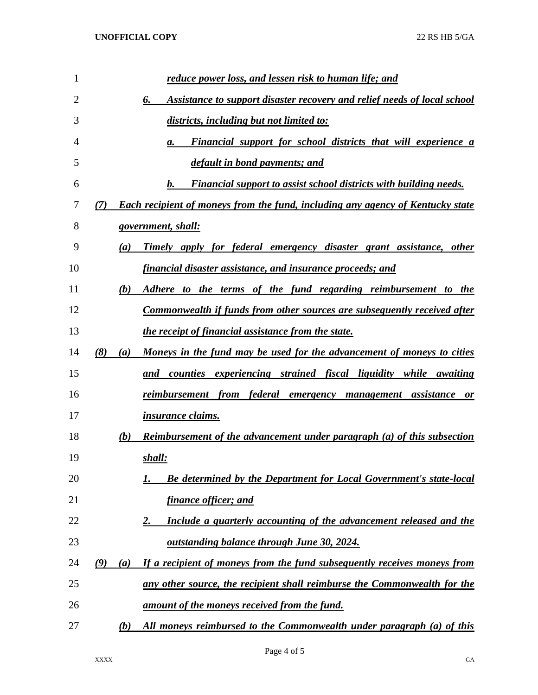| 1  | reduce power loss, and lessen risk to human life; and                                        |
|----|----------------------------------------------------------------------------------------------|
| 2  | <b>Assistance to support disaster recovery and relief needs of local school</b><br>6.        |
| 3  | districts, including but not limited to:                                                     |
| 4  | <b>Financial support for school districts that will experience a</b><br>а.                   |
| 5  | default in bond payments; and                                                                |
| 6  | b.<br><b>Financial support to assist school districts with building needs.</b>               |
| 7  | <b>Each recipient of moneys from the fund, including any agency of Kentucky state</b><br>(7) |
| 8  | <u>government, shall:</u>                                                                    |
| 9  | Timely apply for federal emergency disaster grant assistance, other<br>(a)                   |
| 10 | <u>financial disaster assistance, and insurance proceeds; and</u>                            |
| 11 | Adhere to the terms of the fund regarding reimbursement to the<br>(b)                        |
| 12 | <u>Commonwealth if funds from other sources are subsequently received after</u>              |
| 13 | <i>the receipt of financial assistance from the state.</i>                                   |
| 14 | (8)<br>Moneys in the fund may be used for the advancement of moneys to cities<br>(a)         |
| 15 | and counties experiencing strained fiscal liquidity while awaiting                           |
| 16 | <u>reimbursement from federal emergency management assistance</u><br><b>or</b>               |
| 17 | <i>insurance claims.</i>                                                                     |
| 18 | <b>Reimbursement of the advancement under paragraph (a) of this subsection</b><br>(b)        |
| 19 | shall:                                                                                       |
| 20 | <b>Be determined by the Department for Local Government's state-local</b>                    |
| 21 | finance officer; and                                                                         |
| 22 | Include a quarterly accounting of the advancement released and the<br><u>2.</u>              |
| 23 | <u>outstanding balance through June 30, 2024.</u>                                            |
| 24 | (9)<br>If a recipient of moneys from the fund subsequently receives moneys from<br>(a)       |
| 25 | any other source, the recipient shall reimburse the Commonwealth for the                     |
| 26 | <u>amount of the moneys received from the fund.</u>                                          |
| 27 | All moneys reimbursed to the Commonwealth under paragraph (a) of this<br><u>(b)</u>          |